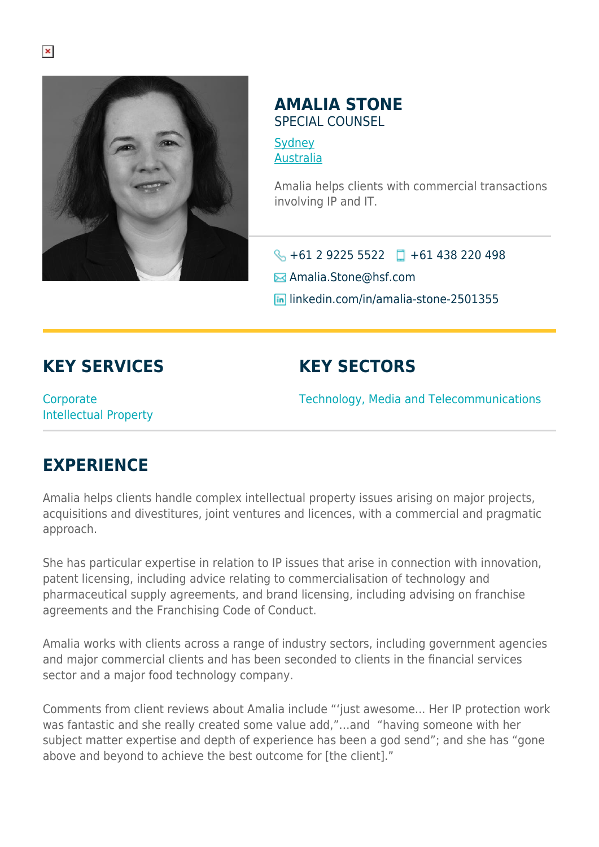

## **AMALIA STONE**

SPECIAL COUNSEL

**[Sydney](https://www.herbertsmithfreehills.com/where-we-work/sydney)** [Australia](https://www.herbertsmithfreehills.com/where-we-work/australia)

Amalia helps clients with commercial transactions involving IP and IT.

 $\bigodot$  +61 2 9225 5522  $\Box$  +61 438 220 498

Amalia.Stone@hsf.com

**lin** linkedin.com/in/amalia-stone-2501355

## **KEY SERVICES**

## **KEY SECTORS**

**Corporate** Intellectual Property Technology, Media and Telecommunications

## **EXPERIENCE**

Amalia helps clients handle complex intellectual property issues arising on major projects, acquisitions and divestitures, joint ventures and licences, with a commercial and pragmatic approach.

She has particular expertise in relation to IP issues that arise in connection with innovation, patent licensing, including advice relating to commercialisation of technology and pharmaceutical supply agreements, and brand licensing, including advising on franchise agreements and the Franchising Code of Conduct.

Amalia works with clients across a range of industry sectors, including government agencies and major commercial clients and has been seconded to clients in the financial services sector and a major food technology company.

Comments from client reviews about Amalia include "'just awesome... Her IP protection work was fantastic and she really created some value add,"…and "having someone with her subject matter expertise and depth of experience has been a god send"; and she has "gone above and beyond to achieve the best outcome for [the client]."